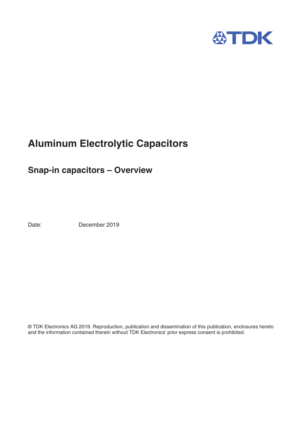

## **Aluminum Electrolytic Capacitors**

## **Snap-in capacitors - Overview**

Date: December 2019

© TDK Electronics AG 2019. Reproduction, publication and dissemination of this publication, enclosures hereto and the information contained therein without TDK Electronics' prior express consent is prohibited.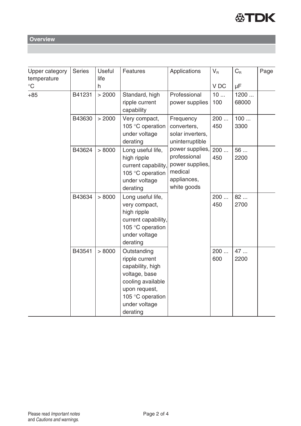

**Overview**

| <b>Upper category</b><br>temperature<br>$\rm ^{\circ}C$ | <b>Series</b> | Useful<br>life<br>h | Features                                                                                                                                                  | Applications                                                                                | $V_{\rm R}$<br>V DC | $C_R$<br>μF   | Page |
|---------------------------------------------------------|---------------|---------------------|-----------------------------------------------------------------------------------------------------------------------------------------------------------|---------------------------------------------------------------------------------------------|---------------------|---------------|------|
| $+85$                                                   | B41231        | > 2000              | Standard, high<br>ripple current<br>capability                                                                                                            | Professional<br>power supplies                                                              | 10<br>100           | 1200<br>68000 |      |
|                                                         | B43630        | > 2000              | Very compact,<br>105 °C operation<br>under voltage<br>derating                                                                                            | Frequency<br>converters,<br>solar inverters,<br>uninterruptible                             | 200<br>450          | 100<br>3300   |      |
|                                                         | B43624        | > 8000              | Long useful life,<br>high ripple<br>current capability,<br>105 °C operation<br>under voltage<br>derating                                                  | power supplies,<br>professional<br>power supplies,<br>medical<br>appliances,<br>white goods | 200<br>450          | 56<br>2200    |      |
|                                                         | B43634        | > 8000              | Long useful life,<br>very compact,<br>high ripple<br>current capability,<br>105 °C operation<br>under voltage<br>derating                                 |                                                                                             | 200<br>450          | 82<br>2700    |      |
|                                                         | B43541        | > 8000              | Outstanding<br>ripple current<br>capability, high<br>voltage, base<br>cooling available<br>upon request,<br>105 °C operation<br>under voltage<br>derating |                                                                                             | 200<br>600          | 47<br>2200    |      |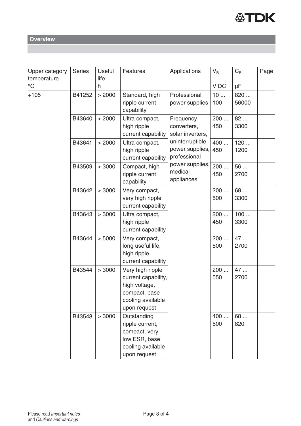

**Overview**

| <b>Upper category</b><br>temperature | <b>Series</b> | <b>Useful</b><br>life | Features                                                                                                       | Applications                                                                                                                                   | $V_R$             | $C_{R}$            | Page |
|--------------------------------------|---------------|-----------------------|----------------------------------------------------------------------------------------------------------------|------------------------------------------------------------------------------------------------------------------------------------------------|-------------------|--------------------|------|
| $^{\circ}C$<br>$+105$                | B41252        | h<br>> 2000           | Standard, high<br>ripple current<br>capability                                                                 | Professional<br>power supplies                                                                                                                 | V DC<br>10<br>100 | μF<br>820<br>56000 |      |
|                                      | B43640        | > 2000                | Ultra compact,<br>high ripple<br>current capability                                                            | Frequency<br>converters,<br>solar inverters,<br>uninterruptible<br>power supplies,<br>professional<br>power supplies,<br>medical<br>appliances | 200<br>450        | 82<br>3300         |      |
|                                      | B43641        | > 2000                | Ultra compact,<br>high ripple<br>current capability                                                            |                                                                                                                                                | 400<br>450        | 120<br>1200        |      |
|                                      | B43509        | > 3000                | Compact, high<br>ripple current<br>capability                                                                  |                                                                                                                                                | 200<br>450        | 56<br>2700         |      |
|                                      | B43642        | > 3000                | Very compact,<br>very high ripple<br>current capability                                                        |                                                                                                                                                | 200<br>500        | 68<br>3300         |      |
|                                      | B43643        | > 3000                | Ultra compact,<br>high ripple<br>current capability                                                            |                                                                                                                                                | 200<br>450        | 100<br>3300        |      |
|                                      | B43644        | > 5000                | Very compact,<br>long useful life,<br>high ripple<br>current capability                                        |                                                                                                                                                | 200<br>500        | 47<br>2700         |      |
|                                      | B43544        | > 3000                | Very high ripple<br>current capability,<br>high voltage,<br>compact, base<br>cooling available<br>upon request |                                                                                                                                                | 200<br>550        | 47<br>2700         |      |
|                                      | B43548        | > 3000                | Outstanding<br>ripple current,<br>compact, very<br>low ESR, base<br>cooling available<br>upon request          |                                                                                                                                                | 400<br>500        | 68<br>820          |      |